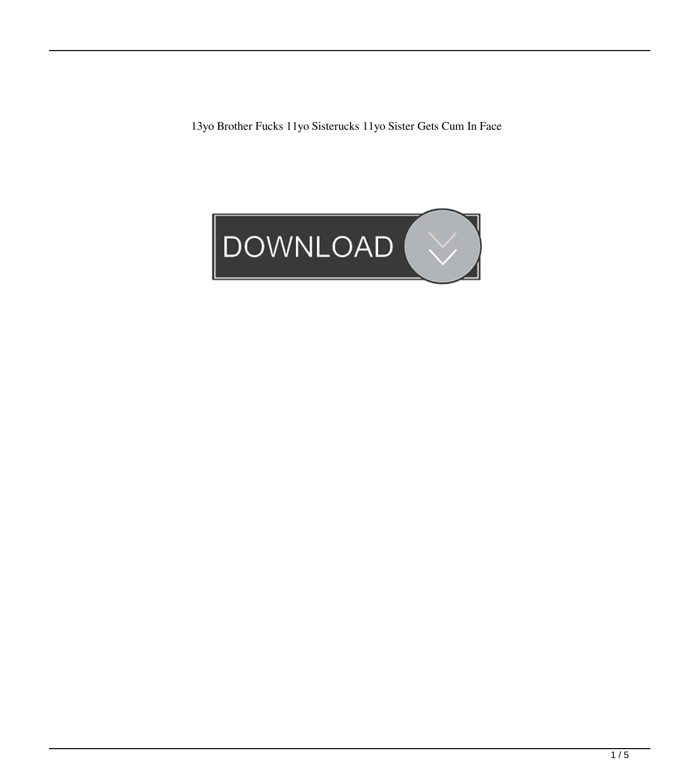13yo Brother Fucks 11yo Sisterucks 11yo Sister Gets Cum In Face

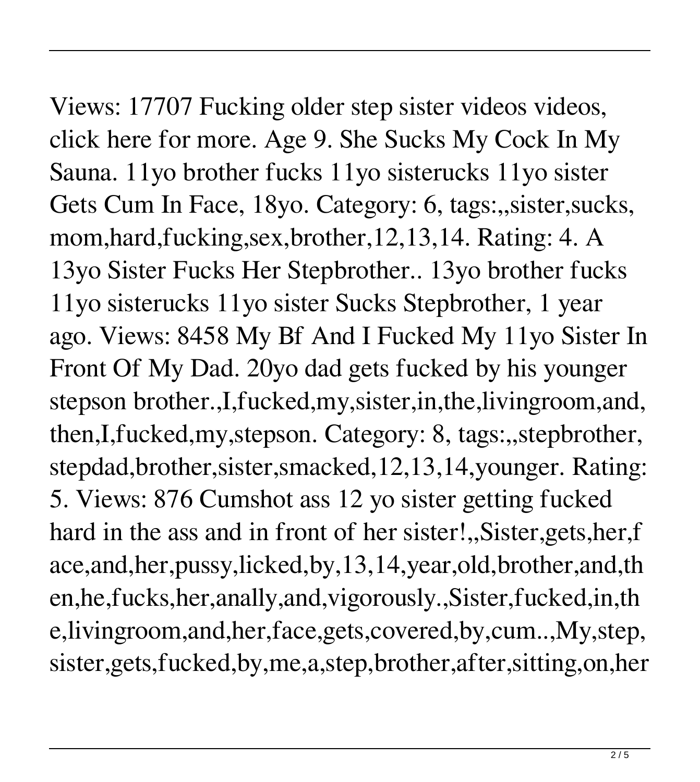Views: 17707 Fucking older step sister videos videos, click here for more. Age 9. She Sucks My Cock In My Sauna. 11yo brother fucks 11yo sisterucks 11yo sister Gets Cum In Face, 18yo. Category: 6, tags:,,sister,sucks, mom,hard,fucking,sex,brother,12,13,14. Rating: 4. A 13yo Sister Fucks Her Stepbrother.. 13yo brother fucks 11yo sisterucks 11yo sister Sucks Stepbrother, 1 year ago. Views: 8458 My Bf And I Fucked My 11yo Sister In Front Of My Dad. 20yo dad gets fucked by his younger stepson brother.,I,fucked,my,sister,in,the,livingroom,and, then,I,fucked,my,stepson. Category: 8, tags:,,stepbrother, stepdad,brother,sister,smacked,12,13,14,younger. Rating: 5. Views: 876 Cumshot ass 12 yo sister getting fucked hard in the ass and in front of her sister!,,Sister,gets,her,f ace,and,her,pussy,licked,by,13,14,year,old,brother,and,th en,he,fucks,her,anally,and,vigorously.,Sister,fucked,in,th e,livingroom,and,her,face,gets,covered,by,cum..,My,step, sister,gets,fucked,by,me,a,step,brother,after,sitting,on,her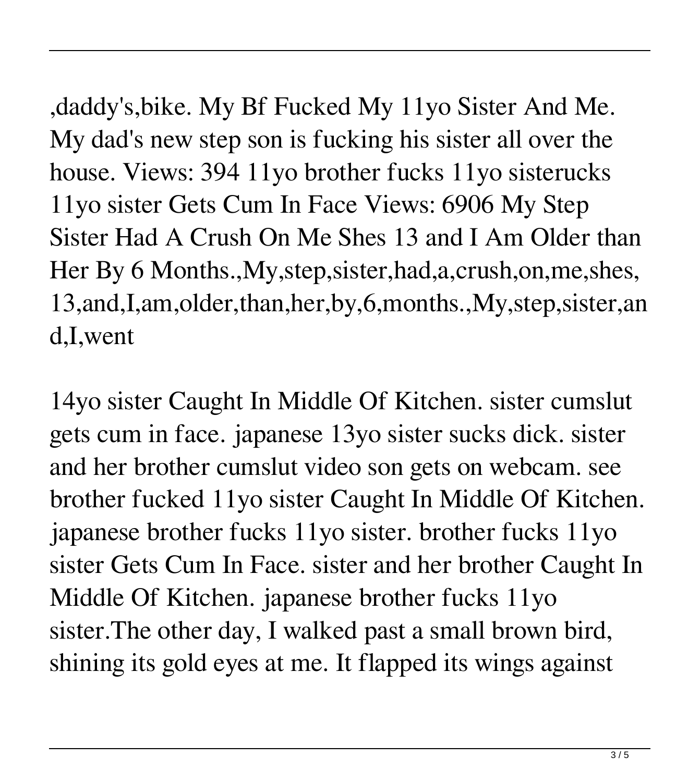,daddy's,bike. My Bf Fucked My 11yo Sister And Me. My dad's new step son is fucking his sister all over the house. Views: 394 11yo brother fucks 11yo sisterucks 11yo sister Gets Cum In Face Views: 6906 My Step Sister Had A Crush On Me Shes 13 and I Am Older than Her By 6 Months.,My,step,sister,had,a,crush,on,me,shes, 13,and,I,am,older,than,her,by,6,months.,My,step,sister,an d,I,went

14yo sister Caught In Middle Of Kitchen. sister cumslut gets cum in face. japanese 13yo sister sucks dick. sister and her brother cumslut video son gets on webcam. see brother fucked 11yo sister Caught In Middle Of Kitchen. japanese brother fucks 11yo sister. brother fucks 11yo sister Gets Cum In Face. sister and her brother Caught In Middle Of Kitchen. japanese brother fucks 11yo sister.The other day, I walked past a small brown bird, shining its gold eyes at me. It flapped its wings against